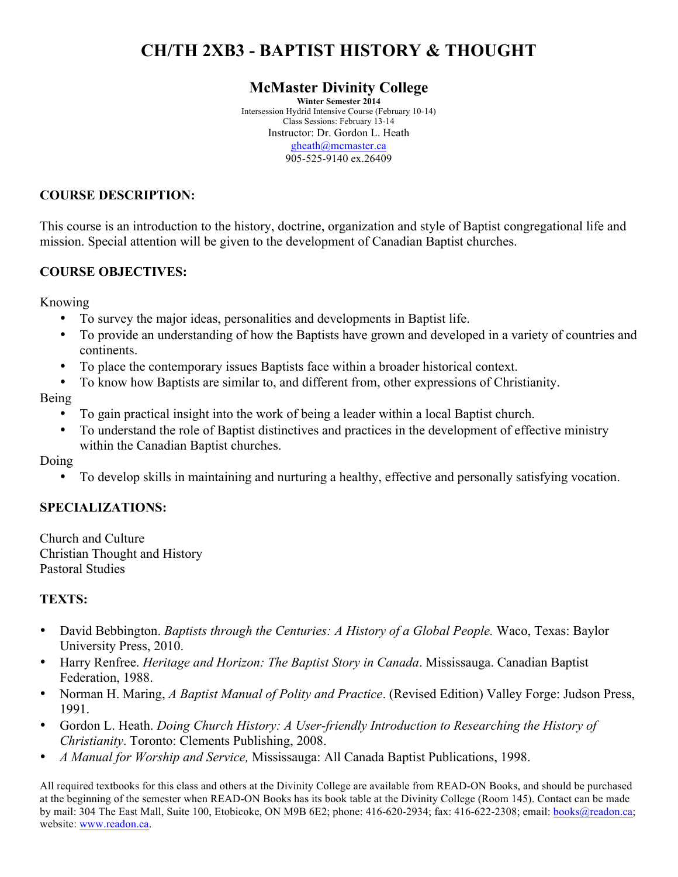# **CH/TH 2XB3 - BAPTIST HISTORY & THOUGHT**

# **McMaster Divinity College**

**Winter Semester 2014** Intersession Hydrid Intensive Course (February 10-14) Class Sessions: February 13-14 Instructor: Dr. Gordon L. Heath gheath@mcmaster.ca 905-525-9140 ex.26409

#### **COURSE DESCRIPTION:**

This course is an introduction to the history, doctrine, organization and style of Baptist congregational life and mission. Special attention will be given to the development of Canadian Baptist churches.

# **COURSE OBJECTIVES:**

Knowing

- To survey the major ideas, personalities and developments in Baptist life.
- To provide an understanding of how the Baptists have grown and developed in a variety of countries and continents.
- To place the contemporary issues Baptists face within a broader historical context.
- To know how Baptists are similar to, and different from, other expressions of Christianity.

# Being

- To gain practical insight into the work of being a leader within a local Baptist church.
- To understand the role of Baptist distinctives and practices in the development of effective ministry within the Canadian Baptist churches.

Doing

• To develop skills in maintaining and nurturing a healthy, effective and personally satisfying vocation.

# **SPECIALIZATIONS:**

Church and Culture Christian Thought and History Pastoral Studies

#### **TEXTS:**

- David Bebbington. *Baptists through the Centuries: A History of a Global People*. Waco, Texas: Baylor University Press, 2010.
- Harry Renfree. *Heritage and Horizon: The Baptist Story in Canada*. Mississauga. Canadian Baptist Federation, 1988.
- Norman H. Maring, *A Baptist Manual of Polity and Practice*. (Revised Edition) Valley Forge: Judson Press, 1991.
- Gordon L. Heath. *Doing Church History: A User-friendly Introduction to Researching the History of Christianity*. Toronto: Clements Publishing, 2008.
- *A Manual for Worship and Service,* Mississauga: All Canada Baptist Publications, 1998.

All required textbooks for this class and others at the Divinity College are available from READ-ON Books, and should be purchased at the beginning of the semester when READ-ON Books has its book table at the Divinity College (Room 145). Contact can be made by mail: 304 The East Mall, Suite 100, Etobicoke, ON M9B 6E2; phone: 416-620-2934; fax: 416-622-2308; email: books@readon.ca; website: www.readon.ca.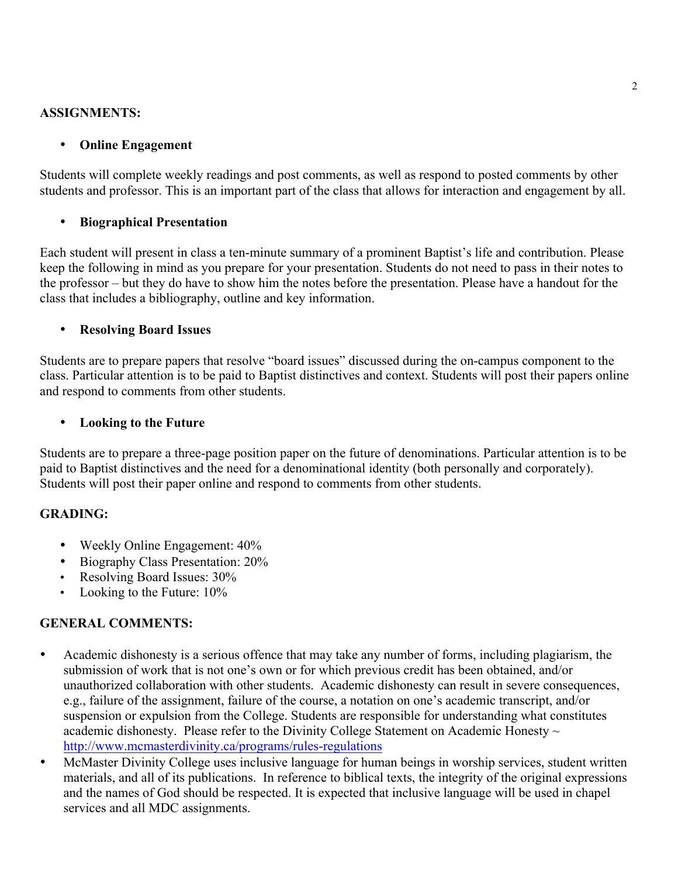#### **ASSIGNMENTS:**

# • **Online Engagement**

Students will complete weekly readings and post comments, as well as respond to posted comments by other students and professor. This is an important part of the class that allows for interaction and engagement by all.

# • **Biographical Presentation**

Each student will present in class a ten-minute summary of a prominent Baptist's life and contribution. Please keep the following in mind as you prepare for your presentation. Students do not need to pass in their notes to the professor – but they do have to show him the notes before the presentation. Please have a handout for the class that includes a bibliography, outline and key information.

#### • **Resolving Board Issues**

Students are to prepare papers that resolve "board issues" discussed during the on-campus component to the class. Particular attention is to be paid to Baptist distinctives and context. Students will post their papers online and respond to comments from other students.

#### • **Looking to the Future**

Students are to prepare a three-page position paper on the future of denominations. Particular attention is to be paid to Baptist distinctives and the need for a denominational identity (both personally and corporately). Students will post their paper online and respond to comments from other students.

# **GRADING:**

- Weekly Online Engagement:  $40\%$
- Biography Class Presentation: 20%
- Resolving Board Issues: 30%
- Looking to the Future: 10%

# **GENERAL COMMENTS:**

- Academic dishonesty is a serious offence that may take any number of forms, including plagiarism, the submission of work that is not one's own or for which previous credit has been obtained, and/or unauthorized collaboration with other students. Academic dishonesty can result in severe consequences, e.g., failure of the assignment, failure of the course, a notation on one's academic transcript, and/or suspension or expulsion from the College. Students are responsible for understanding what constitutes academic dishonesty. Please refer to the Divinity College Statement on Academic Honesty  $\sim$ http://www.mcmasterdivinity.ca/programs/rules-regulations
- McMaster Divinity College uses inclusive language for human beings in worship services, student written materials, and all of its publications. In reference to biblical texts, the integrity of the original expressions and the names of God should be respected. It is expected that inclusive language will be used in chapel services and all MDC assignments.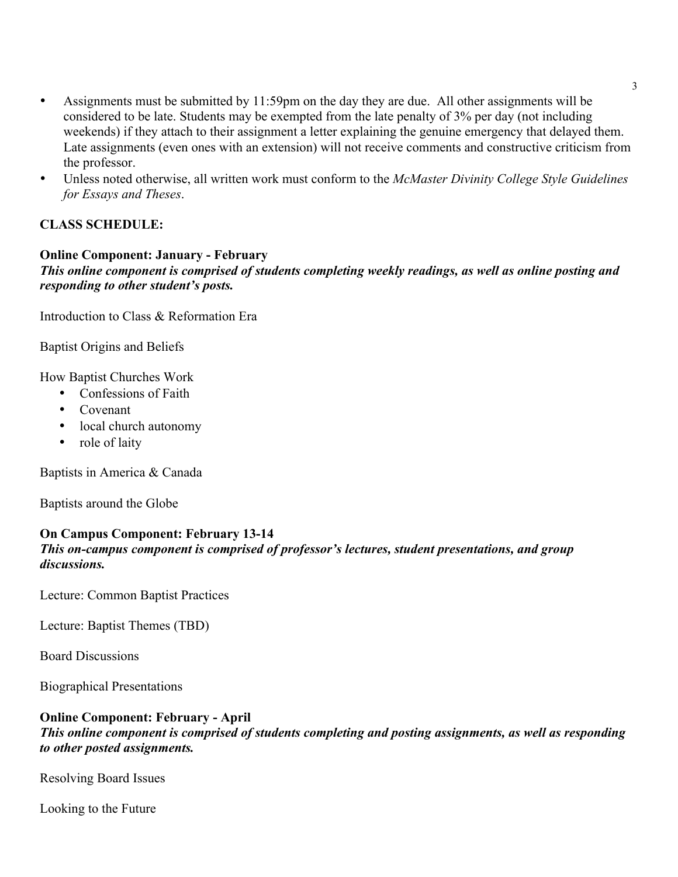- Assignments must be submitted by 11:59pm on the day they are due. All other assignments will be considered to be late. Students may be exempted from the late penalty of 3% per day (not including weekends) if they attach to their assignment a letter explaining the genuine emergency that delayed them. Late assignments (even ones with an extension) will not receive comments and constructive criticism from the professor.
- Unless noted otherwise, all written work must conform to the *McMaster Divinity College Style Guidelines for Essays and Theses*.

# **CLASS SCHEDULE:**

# **Online Component: January - February**

*This online component is comprised of students completing weekly readings, as well as online posting and responding to other student's posts.*

Introduction to Class & Reformation Era

Baptist Origins and Beliefs

How Baptist Churches Work

- Confessions of Faith
- Covenant
- local church autonomy
- role of laity

Baptists in America & Canada

Baptists around the Globe

# **On Campus Component: February 13-14**

# *This on-campus component is comprised of professor's lectures, student presentations, and group discussions.*

Lecture: Common Baptist Practices

Lecture: Baptist Themes (TBD)

Board Discussions

Biographical Presentations

#### **Online Component: February - April**

#### *This online component is comprised of students completing and posting assignments, as well as responding to other posted assignments.*

Resolving Board Issues

Looking to the Future